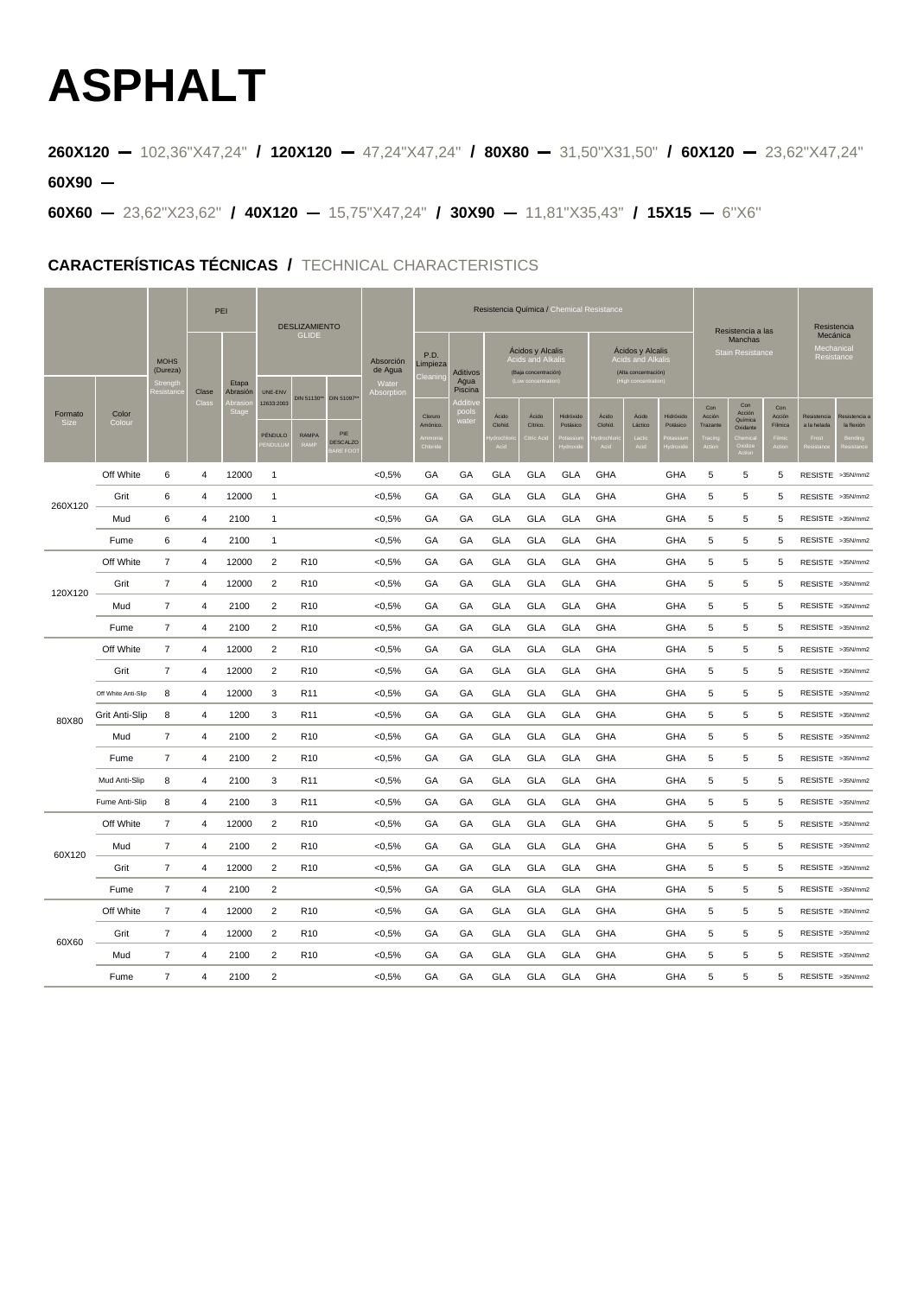## **ASPHALT**

**260X120** 102,36"X47,24" **/ 120X120** 47,24"X47,24" **/ 80X80** 31,50"X31,50" **/ 60X120** 23,62"X47,24" **60X90**

**60X60** 23,62"X23,62" **/ 40X120** 15,75"X47,24" **/ 30X90** 11,81"X35,43" **/ 15X15** 6''X6''

## **CARACTERÍSTICAS TÉCNICAS /** TECHNICAL CHARACTERISTICS

|                        |                     |                                                 | PEI                     |                   | <b>DESLIZAMIENTO</b>    |                      |                                                 | Resistencia Química / Chemical Resistance |                             |                                                                                          |                  |                                                                                            |                       |                          |                                                         |                       | Resistencia               |                                             |                          |                                     |                           |
|------------------------|---------------------|-------------------------------------------------|-------------------------|-------------------|-------------------------|----------------------|-------------------------------------------------|-------------------------------------------|-----------------------------|------------------------------------------------------------------------------------------|------------------|--------------------------------------------------------------------------------------------|-----------------------|--------------------------|---------------------------------------------------------|-----------------------|---------------------------|---------------------------------------------|--------------------------|-------------------------------------|---------------------------|
|                        |                     | <b>MOHS</b><br>(Dureza)<br>Strengtl<br>lesistan | Clase<br>Clas           | Etapa<br>Abrasión | UNE-ENV                 | <b>GLIDE</b>         | Absorción<br>de Agua<br>Water<br>Absorption     | P.D.<br>Limpieza<br>Cleanin               | Aditivos<br>Agua<br>Piscina | Acidos y Alcalis<br><b>Acids and Alkali</b><br>(Baja concentración)<br>Low concentration |                  | Acidos y Alcalis<br><b>Acids and Alkalis</b><br>(Alta concentración)<br>High concentration |                       |                          | Resistencia a las<br>Manchas<br><b>Stain Resistance</b> |                       |                           | Mecánica<br><b>Aechanical</b><br>Resistance |                          |                                     |                           |
| Formato<br><b>Size</b> | Color<br>Colour     |                                                 |                         |                   | 12633:2003<br>PÉNDULO   | DIN 51130**<br>RAMPA | DIN 51097*<br>PIE<br><b>DESCALZO</b><br>ARE FOO |                                           | Clorum<br>Amónico.          | oool:<br>vate                                                                            | Ácido<br>Clohid. | Ácido<br>Cítrico.<br>tric A                                                                | Hidróxido<br>Potásico | Ácido<br>Clohid.<br>Acid | Ácido<br>Láctico                                        | Hidróxido<br>Potásico | Con<br>Anción<br>Trazante | Con<br>Acción<br>Química<br>Oxidante        | Con<br>Acción<br>Filmica | Resistencia<br>a la helada<br>Frost | Resistencia<br>la flexión |
| 260X120                | Off White           | 6                                               | 4                       | 12000             | 1                       |                      |                                                 | < 0,5%                                    | GA                          | GA                                                                                       | <b>GLA</b>       | <b>GLA</b>                                                                                 | <b>GLA</b>            | GHA                      |                                                         | GHA                   | 5                         | 5                                           | 5                        |                                     | RESISTE >35N/mm2          |
|                        | Grit                | 6                                               | $\overline{4}$          | 12000             | $\mathbf{1}$            |                      |                                                 | <0.5%                                     | GA                          | GA                                                                                       | <b>GLA</b>       | <b>GLA</b>                                                                                 | <b>GLA</b>            | <b>GHA</b>               |                                                         | GHA                   | 5                         | 5                                           | 5                        |                                     | RESISTE >35N/mm2          |
|                        | Mud                 | 6                                               | 4                       | 2100              | 1                       |                      |                                                 | <0,5%                                     | GA                          | GA                                                                                       | GLA              | GLA                                                                                        | GLA                   | GHA                      |                                                         | GHA                   | 5                         | 5                                           | 5                        |                                     | RESISTE >35N/mm2          |
|                        | Fume                | 6                                               | 4                       | 2100              | 1                       |                      |                                                 | $<0.5\%$                                  | GA                          | GA                                                                                       | <b>GLA</b>       | <b>GLA</b>                                                                                 | <b>GLA</b>            | GHA                      |                                                         | GHA                   | 5                         | 5                                           | 5                        |                                     | RESISTE >35N/mm2          |
| 120X120                | Off White           | $\overline{7}$                                  | 4                       | 12000             | $\overline{2}$          | R <sub>10</sub>      |                                                 | <0.5%                                     | GA                          | GА                                                                                       | GLA              | <b>GLA</b>                                                                                 | <b>GLA</b>            | GHA                      |                                                         | GHA                   | 5                         | 5                                           | 5                        |                                     | RESISTE >35N/mm2          |
|                        | Grit                | $\overline{7}$                                  | 4                       | 12000             | $\overline{\mathbf{c}}$ | R <sub>10</sub>      |                                                 | < 0,5%                                    | GA                          | GA                                                                                       | <b>GLA</b>       | GLA                                                                                        | <b>GLA</b>            | GHA                      |                                                         | GHA                   | 5                         | 5                                           | 5                        |                                     | RESISTE >35N/mm2          |
|                        | Mud                 | 7                                               | 4                       | 2100              | $\overline{2}$          | R <sub>10</sub>      |                                                 | < 0,5%                                    | GA                          | GA                                                                                       | GLA              | <b>GLA</b>                                                                                 | GLA                   | GHA                      |                                                         | GHA                   | 5                         | 5                                           | 5                        |                                     | RESISTE >35N/mm2          |
|                        | Fume                | $\overline{7}$                                  | 4                       | 2100              | $\overline{2}$          | R <sub>10</sub>      |                                                 | $<0.5\%$                                  | GA                          | GА                                                                                       | <b>GLA</b>       | <b>GLA</b>                                                                                 | <b>GLA</b>            | GHA                      |                                                         | GHA                   | 5                         | 5                                           | 5                        |                                     | RESISTE >35N/mm2          |
| 80X80                  | Off White           | $\overline{7}$                                  | 4                       | 12000             | $\overline{\mathbf{c}}$ | R <sub>10</sub>      |                                                 | $<0.5\%$                                  | GA                          | GA                                                                                       | <b>GLA</b>       | <b>GLA</b>                                                                                 | <b>GLA</b>            | <b>GHA</b>               |                                                         | GHA                   | 5                         | 5                                           | 5                        |                                     | RESISTE >35N/mm2          |
|                        | Grit                | 7                                               | 4                       | 12000             | $\overline{\mathbf{c}}$ | R <sub>10</sub>      |                                                 | <0,5%                                     | GA                          | GA                                                                                       | GLA              | <b>GLA</b>                                                                                 | <b>GLA</b>            | GHA                      |                                                         | GHA                   | 5                         | 5                                           | 5                        |                                     | RESISTE >35N/mm2          |
|                        | Off White Anti-Slip | 8                                               | 4                       | 12000             | 3                       | R <sub>11</sub>      |                                                 | < 0,5%                                    | GA                          | GA                                                                                       | GLA              | GLA                                                                                        | GLA                   | GHA                      |                                                         | GHA                   | 5                         | $\sqrt{5}$                                  | 5                        |                                     | RESISTE >35N/mm2          |
|                        | Grit Anti-Slip      | 8                                               | 4                       | 1200              | 3                       | R <sub>11</sub>      |                                                 | <0.5%                                     | GA                          | GA                                                                                       | <b>GLA</b>       | GLA                                                                                        | <b>GLA</b>            | GHA                      |                                                         | GHA                   | 5                         | 5                                           | 5                        |                                     | RESISTE >35N/mm2          |
|                        | Mud                 | 7                                               | 4                       | 2100              | 2                       | R <sub>10</sub>      |                                                 | <0,5%                                     | GA                          | GA                                                                                       | <b>GLA</b>       | <b>GLA</b>                                                                                 | <b>GLA</b>            | GHA                      |                                                         | GHA                   | 5                         | 5                                           | 5                        |                                     | RESISTE >35N/mm2          |
|                        | Fume                | $\overline{7}$                                  | 4                       | 2100              | $\overline{2}$          | R <sub>10</sub>      |                                                 | $<0.5\%$                                  | GA                          | GA                                                                                       | GLA              | <b>GLA</b>                                                                                 | <b>GLA</b>            | GHA                      |                                                         | GHA                   | 5                         | 5                                           | 5                        |                                     | RESISTE >35N/mm2          |
|                        | Mud Anti-Slip       | 8                                               | 4                       | 2100              | 3                       | R <sub>11</sub>      |                                                 | <0.5%                                     | GA                          | GА                                                                                       | GLA              | <b>GLA</b>                                                                                 | GLA                   | GHA                      |                                                         | GHA                   | 5                         | 5                                           | 5                        |                                     | RESISTE >35N/mm2          |
|                        | Fume Anti-Slip      | 8                                               | $\overline{4}$          | 2100              | 3                       | R <sub>11</sub>      |                                                 | < 0,5%                                    | GA                          | GA                                                                                       | <b>GLA</b>       | <b>GLA</b>                                                                                 | <b>GLA</b>            | GHA                      |                                                         | GHA                   | 5                         | 5                                           | 5                        |                                     | RESISTE >35N/mm2          |
| 60X120                 | Off White           | $\overline{7}$                                  | 4                       | 12000             | $\overline{2}$          | R <sub>10</sub>      |                                                 | < 0,5%                                    | GA                          | GA                                                                                       | GLA              | GLA                                                                                        | <b>GLA</b>            | GHA                      |                                                         | GHA                   | 5                         | 5                                           | 5                        |                                     | RESISTE >35N/mm2          |
|                        | Mud                 | 7                                               | 4                       | 2100              | $\overline{2}$          | R <sub>10</sub>      |                                                 | $<0.5\%$                                  | GA                          | GА                                                                                       | GLA              | GLA                                                                                        | <b>GLA</b>            | GHA                      |                                                         | GHA                   | 5                         | 5                                           | 5                        |                                     | RESISTE >35N/mm2          |
|                        | Grit                | $\overline{7}$                                  | 4                       | 12000             | $\overline{\mathbf{c}}$ | R <sub>10</sub>      |                                                 | $<0.5\%$                                  | GA                          | GA                                                                                       | <b>GLA</b>       | <b>GLA</b>                                                                                 | <b>GLA</b>            | GHA                      |                                                         | GHA                   | 5                         | 5                                           | 5                        |                                     | RESISTE >35N/mm2          |
|                        | Fume                | $\overline{7}$                                  | 4                       | 2100              | $\overline{2}$          |                      |                                                 | <0,5%                                     | GA                          | GА                                                                                       | GLA              | <b>GLA</b>                                                                                 | GLA                   | GHA                      |                                                         | GHA                   | 5                         | 5                                           | 5                        |                                     | RESISTE >35N/mm2          |
| 60X60                  | Off White           | $\overline{7}$                                  | 4                       | 12000             | $\overline{\mathbf{c}}$ | R <sub>10</sub>      |                                                 | < 0,5%                                    | GA                          | GA                                                                                       | <b>GLA</b>       | <b>GLA</b>                                                                                 | <b>GLA</b>            | <b>GHA</b>               |                                                         | GHA                   | 5                         | 5                                           | 5                        |                                     | RESISTE >35N/mm2          |
|                        | Grit                | 7                                               | 4                       | 12000             | $\overline{2}$          | R <sub>10</sub>      |                                                 | <0,5%                                     | GA                          | GA                                                                                       | <b>GLA</b>       | GLA                                                                                        | <b>GLA</b>            | GHA                      |                                                         | GHA                   | 5                         | 5                                           | 5                        |                                     | RESISTE >35N/mm2          |
|                        | Mud                 | $\overline{7}$                                  | $\overline{\mathbf{4}}$ | 2100              | $\overline{\mathbf{c}}$ | R <sub>10</sub>      |                                                 | < 0,5%                                    | GA                          | GA                                                                                       | GLA              | GLA                                                                                        | GLA                   | GHA                      |                                                         | GHA                   | 5                         | $\sqrt{5}$                                  | 5                        |                                     | RESISTE >35N/mm2          |
|                        | Fume                | $\overline{7}$                                  | 4                       | 2100              | $\overline{2}$          |                      |                                                 | $<0.5\%$                                  | GA                          | GA                                                                                       | <b>GLA</b>       | <b>GLA</b>                                                                                 | <b>GLA</b>            | <b>GHA</b>               |                                                         | GHA                   | 5                         | 5                                           | 5                        |                                     | RESISTE >35N/mm2          |